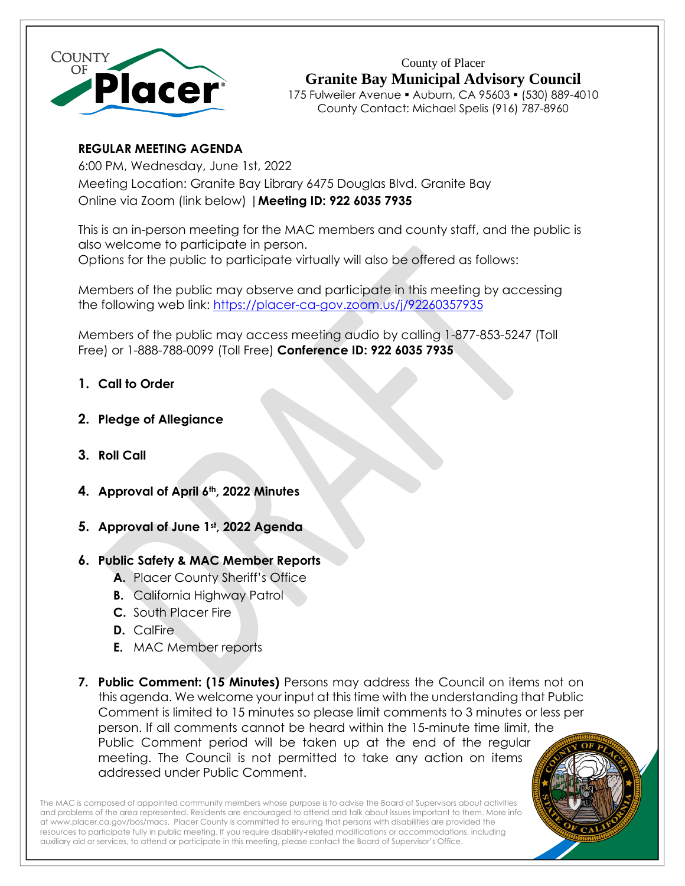

County of Placer **Granite Bay Municipal Advisory Council** 175 Fulweiler Avenue ▪ Auburn, CA 95603 ▪ (530) 889-4010 County Contact: Michael Spelis (916) 787-8960

# **REGULAR MEETING AGENDA**

6:00 PM, Wednesday, June 1st, 2022 Meeting Location: Granite Bay Library 6475 Douglas Blvd. Granite Bay Online via Zoom (link below) |**Meeting ID: 922 6035 7935**

This is an in-person meeting for the MAC members and county staff, and the public is also welcome to participate in person. Options for the public to participate virtually will also be offered as follows:

Members of the public may observe and participate in this meeting [by](https://placer-ca-gov.zoom.us/j/98625978192) accessing the following web link:<https://placer-ca-gov.zoom.us/j/92260357935>

Members of the public may access meeting audio by calling 1-877-853-5247 (Toll Free) or 1-888-788-0099 (Toll Free) **Conference ID: 922 6035 7935**

- **1. Call to Order**
- **2. Pledge of Allegiance**
- **3. Roll Call**
- **4. Approval of April 6th, 2022 Minutes**
- **5. Approval of June 1st , 2022 Agenda**

# **6. Public Safety & MAC Member Reports**

- **A.** Placer County Sheriff's Office
- **B.** California Highway Patrol
- **C.** South Placer Fire
- **D.** CalFire
- **E.** MAC Member reports
- **7. Public Comment: (15 Minutes)** Persons may address the Council on items not on this agenda. We welcome your input at this time with the understanding that Public Comment is limited to 15 minutes so please limit comments to 3 minutes or less per person. If all comments cannot be heard within the 15-minute time limit, the Public Comment period will be taken up at the end of the regular meeting. The Council is not permitted to take any action on items addressed under Public Comment.

The MAC is composed of appointed community members whose purpose is to advise the Board of Supervisors about activities and problems of the area represented. Residents are encouraged to attend and talk about issues important to them. More info a[t www.placer.ca.gov/bos/macs.](http://www.placer.ca.gov/bos/macs) Placer County is committed to ensuring that persons with disabilities are provided the resources to participate fully in public meeting. If you require disability-related modifications or accommodations, including auxiliary aid or services, to attend or participate in this meeting, please contact the Board of Supervisor's Office.